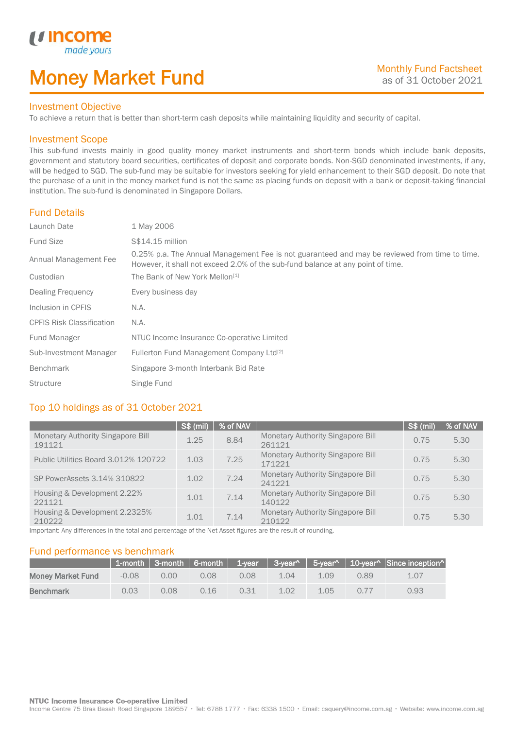# Money Market Fund

#### Investment Objective

made yo

*u* incom

I

To achieve a return that is better than short-term cash deposits while maintaining liquidity and security of capital.

#### Investment Scope

This sub-fund invests mainly in good quality money market instruments and short-term bonds which include bank deposits, government and statutory board securities, certificates of deposit and corporate bonds. Non-SGD denominated investments, if any, will be hedged to SGD. The sub-fund may be suitable for investors seeking for yield enhancement to their SGD deposit. Do note that the purchase of a unit in the money market fund is not the same as placing funds on deposit with a bank or deposit-taking financial institution. The sub-fund is denominated in Singapore Dollars.

#### Fund Details

| Launch Date                      | 1 May 2006                                                                                                                                                                       |
|----------------------------------|----------------------------------------------------------------------------------------------------------------------------------------------------------------------------------|
| <b>Fund Size</b>                 | S\$14.15 million                                                                                                                                                                 |
| Annual Management Fee            | 0.25% p.a. The Annual Management Fee is not guaranteed and may be reviewed from time to time.<br>However, it shall not exceed 2.0% of the sub-fund balance at any point of time. |
| Custodian                        | The Bank of New York Mellon <sup>[1]</sup>                                                                                                                                       |
| Dealing Frequency                | Every business day                                                                                                                                                               |
| Inclusion in CPFIS               | N.A.                                                                                                                                                                             |
| <b>CPFIS Risk Classification</b> | N.A.                                                                                                                                                                             |
| Fund Manager                     | NTUC Income Insurance Co-operative Limited                                                                                                                                       |
| Sub-Investment Manager           | Fullerton Fund Management Company Ltd <sup>[2]</sup>                                                                                                                             |
| <b>Benchmark</b>                 | Singapore 3-month Interbank Bid Rate                                                                                                                                             |
| <b>Structure</b>                 | Single Fund                                                                                                                                                                      |

### Top 10 holdings as of 31 October 2021

|                                                    | S\$ (mil) | % of NAV |                                                    | S\$ (mil) | % of NAV |
|----------------------------------------------------|-----------|----------|----------------------------------------------------|-----------|----------|
| <b>Monetary Authority Singapore Bill</b><br>191121 | 1.25      | 8.84     | <b>Monetary Authority Singapore Bill</b><br>261121 | 0.75      | 5.30     |
| Public Utilities Board 3.012% 120722               | 1.03      | 7.25     | <b>Monetary Authority Singapore Bill</b><br>171221 | 0.75      | 5.30     |
| SP PowerAssets 3.14% 310822                        | 1.02      | 7.24     | <b>Monetary Authority Singapore Bill</b><br>241221 | 0.75      | 5.30     |
| Housing & Development 2.22%<br>221121              | 1.01      | 7.14     | <b>Monetary Authority Singapore Bill</b><br>140122 | 0.75      | 5.30     |
| Housing & Development 2.2325%<br>210222            | 1.01      | 7.14     | <b>Monetary Authority Singapore Bill</b><br>210122 | 0.75      | 5.30     |

Important: Any differences in the total and percentage of the Net Asset figures are the result of rounding.

#### Fund performance vs benchmark

|                          |         |                |      |      |      |      |      | 1-month   3-month   6-month   1-year   3-year^   5-year^   10-year^   Since inception^ |
|--------------------------|---------|----------------|------|------|------|------|------|----------------------------------------------------------------------------------------|
| <b>Money Market Fund</b> | $-0.08$ | 0.00           | 0.08 | 0.08 | 1.04 | 1.09 | 0.89 | 1.07                                                                                   |
| <b>Benchmark</b>         | 0.03    | $0.08^{\circ}$ | 0.16 | 0.31 | 1.02 | 1.05 | 0.77 | 0.93                                                                                   |